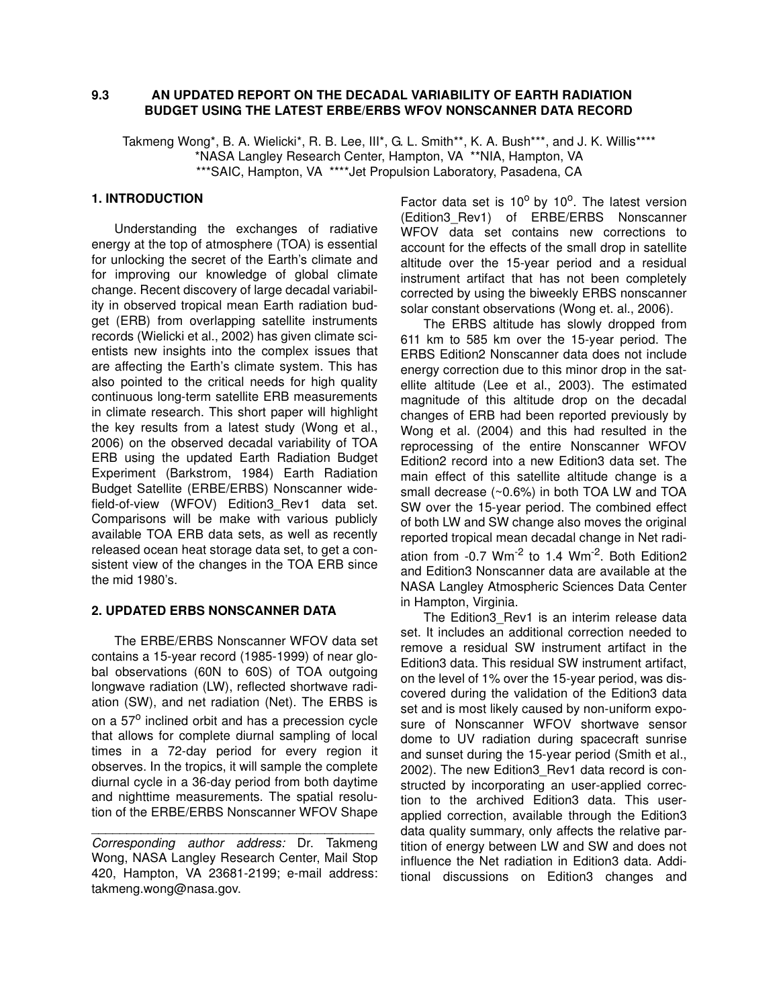### **9.3 AN UPDATED REPORT ON THE DECADAL VARIABILITY OF EARTH RADIATION BUDGET USING THE LATEST ERBE/ERBS WFOV NONSCANNER DATA RECORD**

Takmeng Wong\*, B. A. Wielicki\*, R. B. Lee, III\*, G. L. Smith\*\*, K. A. Bush\*\*\*, and J. K. Willis\*\*\*\* \*NASA Langley Research Center, Hampton, VA \*\*NIA, Hampton, VA \*\*\*SAIC, Hampton, VA \*\*\*\*Jet Propulsion Laboratory, Pasadena, CA

# **1. INTRODUCTION**

Understanding the exchanges of radiative energy at the top of atmosphere (TOA) is essential for unlocking the secret of the Earth's climate and for improving our knowledge of global climate change. Recent discovery of large decadal variability in observed tropical mean Earth radiation budget (ERB) from overlapping satellite instruments records (Wielicki et al., 2002) has given climate scientists new insights into the complex issues that are affecting the Earth's climate system. This has also pointed to the critical needs for high quality continuous long-term satellite ERB measurements in climate research. This short paper will highlight the key results from a latest study (Wong et al., 2006) on the observed decadal variability of TOA ERB using the updated Earth Radiation Budget Experiment (Barkstrom, 1984) Earth Radiation Budget Satellite (ERBE/ERBS) Nonscanner widefield-of-view (WFOV) Edition3\_Rev1 data set. Comparisons will be make with various publicly available TOA ERB data sets, as well as recently released ocean heat storage data set, to get a consistent view of the changes in the TOA ERB since the mid 1980's.

#### **2. UPDATED ERBS NONSCANNER DATA**

The ERBE/ERBS Nonscanner WFOV data set contains a 15-year record (1985-1999) of near global observations (60N to 60S) of TOA outgoing longwave radiation (LW), reflected shortwave radiation (SW), and net radiation (Net). The ERBS is on a 57<sup>o</sup> inclined orbit and has a precession cycle that allows for complete diurnal sampling of local times in a 72-day period for every region it observes. In the tropics, it will sample the complete diurnal cycle in a 36-day period from both daytime and nighttime measurements. The spatial resolution of the ERBE/ERBS Nonscanner WFOV Shape

Corresponding author address: Dr. Takmeng Wong, NASA Langley Research Center, Mail Stop 420, Hampton, VA 23681-2199; e-mail address: takmeng.wong@nasa.gov.

 $\overline{\phantom{a}}$  , and the set of the set of the set of the set of the set of the set of the set of the set of the set of the set of the set of the set of the set of the set of the set of the set of the set of the set of the s

Factor data set is 10<sup>o</sup> by 10<sup>o</sup>. The latest version (Edition3\_Rev1) of ERBE/ERBS Nonscanner WFOV data set contains new corrections to account for the effects of the small drop in satellite altitude over the 15-year period and a residual instrument artifact that has not been completely corrected by using the biweekly ERBS nonscanner solar constant observations (Wong et. al., 2006).

The ERBS altitude has slowly dropped from 611 km to 585 km over the 15-year period. The ERBS Edition2 Nonscanner data does not include energy correction due to this minor drop in the satellite altitude (Lee et al., 2003). The estimated magnitude of this altitude drop on the decadal changes of ERB had been reported previously by Wong et al. (2004) and this had resulted in the reprocessing of the entire Nonscanner WFOV Edition2 record into a new Edition3 data set. The main effect of this satellite altitude change is a small decrease (~0.6%) in both TOA LW and TOA SW over the 15-year period. The combined effect of both LW and SW change also moves the original reported tropical mean decadal change in Net radiation from  $-0.7$  Wm<sup>-2</sup> to 1.4 Wm<sup>-2</sup>. Both Edition2 and Edition3 Nonscanner data are available at the NASA Langley Atmospheric Sciences Data Center in Hampton, Virginia.

The Edition3 Rev1 is an interim release data set. It includes an additional correction needed to remove a residual SW instrument artifact in the Edition3 data. This residual SW instrument artifact, on the level of 1% over the 15-year period, was discovered during the validation of the Edition3 data set and is most likely caused by non-uniform exposure of Nonscanner WFOV shortwave sensor dome to UV radiation during spacecraft sunrise and sunset during the 15-year period (Smith et al., 2002). The new Edition3\_Rev1 data record is constructed by incorporating an user-applied correction to the archived Edition3 data. This userapplied correction, available through the Edition3 data quality summary, only affects the relative partition of energy between LW and SW and does not influence the Net radiation in Edition3 data. Additional discussions on Edition3 changes and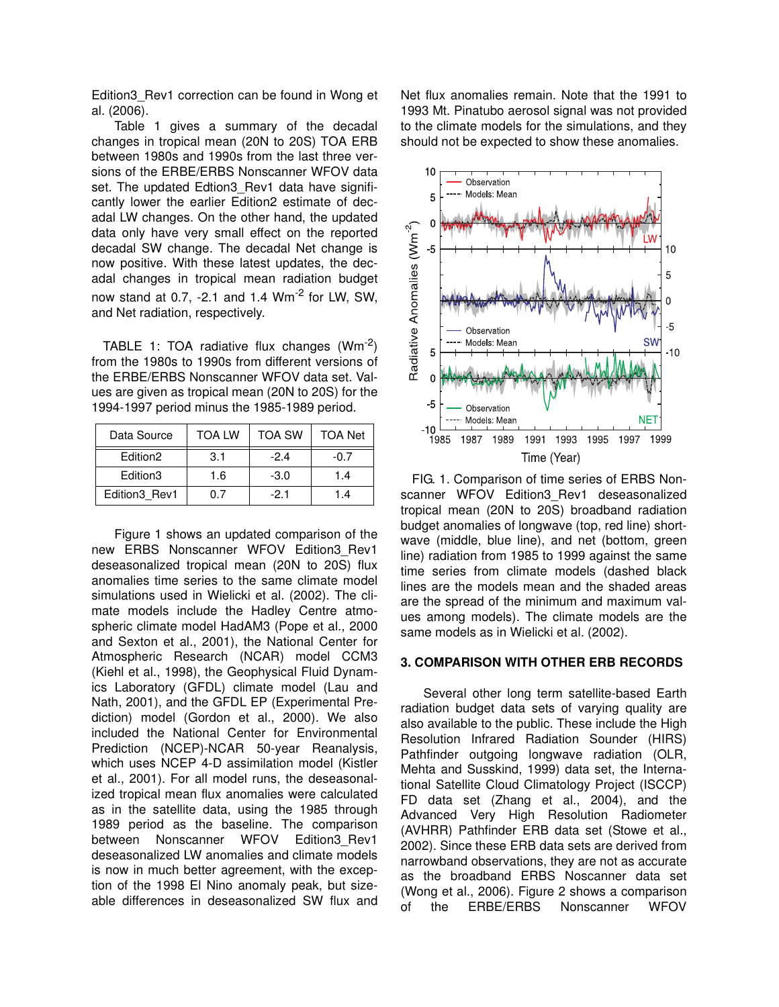Edition3\_Rev1 correction can be found in Wong et al. (2006).

Table 1 gives a summary of the decadal changes in tropical mean (20N to 20S) TOA ERB between 1980s and 1990s from the last three versions of the ERBE/ERBS Nonscanner WFOV data set. The updated Edtion3\_Rev1 data have significantly lower the earlier Edition2 estimate of decadal LW changes. On the other hand, the updated data only have very small effect on the reported decadal SW change. The decadal Net change is now positive. With these latest updates, the decadal changes in tropical mean radiation budget now stand at 0.7, -2.1 and 1.4 Wm<sup>-2</sup> for LW. SW. and Net radiation, respectively.

TABLE 1: TOA radiative flux changes  $(Wm^{-2})$ from the 1980s to 1990s from different versions of the ERBE/ERBS Nonscanner WFOV data set. Values are given as tropical mean (20N to 20S) for the 1994-1997 period minus the 1985-1989 period.

| Data Source          | <b>TOA LW</b> | <b>TOA SW</b> | <b>TOA Net</b> |
|----------------------|---------------|---------------|----------------|
| Edition <sub>2</sub> | 3.1           | $-2.4$        | $-0.7$         |
| Edition3             | 1.6           | $-3.0$        | 1.4            |
| Edition3 Rev1        | ი 7           | -21           | 1.4            |

Figure 1 shows an updated comparison of the new ERBS Nonscanner WFOV Edition3\_Rev1 deseasonalized tropical mean (20N to 20S) flux anomalies time series to the same climate model simulations used in Wielicki et al. (2002). The climate models include the Hadley Centre atmospheric climate model HadAM3 (Pope et al., 2000 and Sexton et al., 2001), the National Center for Atmospheric Research (NCAR) model CCM3 (Kiehl et al., 1998), the Geophysical Fluid Dynamics Laboratory (GFDL) climate model (Lau and Nath, 2001), and the GFDL EP (Experimental Prediction) model (Gordon et al., 2000). We also included the National Center for Environmental Prediction (NCEP)-NCAR 50-year Reanalysis, which uses NCEP 4-D assimilation model (Kistler et al., 2001). For all model runs, the deseasonalized tropical mean flux anomalies were calculated as in the satellite data, using the 1985 through 1989 period as the baseline. The comparison between Nonscanner WFOV Edition3 Rev1 deseasonalized LW anomalies and climate models is now in much better agreement, with the exception of the 1998 El Nino anomaly peak, but sizeable differences in deseasonalized SW flux and Net flux anomalies remain. Note that the 1991 to 1993 Mt. Pinatubo aerosol signal was not provided to the climate models for the simulations, and they should not be expected to show these anomalies.



FIG. 1. Comparison of time series of ERBS Nonscanner WFOV Edition3\_Rev1 deseasonalized tropical mean (20N to 20S) broadband radiation budget anomalies of longwave (top, red line) shortwave (middle, blue line), and net (bottom, green line) radiation from 1985 to 1999 against the same time series from climate models (dashed black lines are the models mean and the shaded areas are the spread of the minimum and maximum values among models). The climate models are the same models as in Wielicki et al. (2002).

#### **3. COMPARISON WITH OTHER ERB RECORDS**

Several other long term satellite-based Earth radiation budget data sets of varying quality are also available to the public. These include the High Resolution Infrared Radiation Sounder (HIRS) Pathfinder outgoing longwave radiation (OLR, Mehta and Susskind, 1999) data set, the International Satellite Cloud Climatology Project (ISCCP) FD data set (Zhang et al., 2004), and the Advanced Very High Resolution Radiometer (AVHRR) Pathfinder ERB data set (Stowe et al., 2002). Since these ERB data sets are derived from narrowband observations, they are not as accurate as the broadband ERBS Noscanner data set (Wong et al., 2006). Figure 2 shows a comparison of the ERBE/ERBS Nonscanner WFOV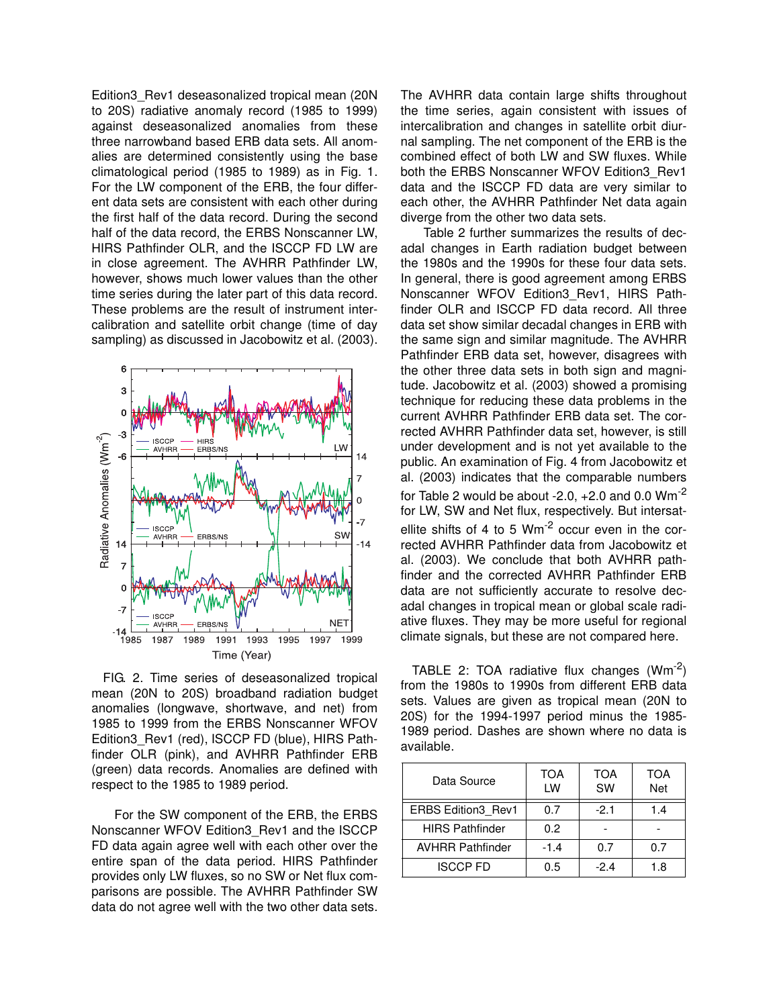Edition3\_Rev1 deseasonalized tropical mean (20N to 20S) radiative anomaly record (1985 to 1999) against deseasonalized anomalies from these three narrowband based ERB data sets. All anomalies are determined consistently using the base climatological period (1985 to 1989) as in Fig. 1. For the LW component of the ERB, the four different data sets are consistent with each other during the first half of the data record. During the second half of the data record, the ERBS Nonscanner LW, HIRS Pathfinder OLR, and the ISCCP FD LW are in close agreement. The AVHRR Pathfinder LW, however, shows much lower values than the other time series during the later part of this data record. These problems are the result of instrument intercalibration and satellite orbit change (time of day sampling) as discussed in Jacobowitz et al. (2003).



FIG. 2. Time series of deseasonalized tropical mean (20N to 20S) broadband radiation budget anomalies (longwave, shortwave, and net) from 1985 to 1999 from the ERBS Nonscanner WFOV Edition3\_Rev1 (red), ISCCP FD (blue), HIRS Pathfinder OLR (pink), and AVHRR Pathfinder ERB (green) data records. Anomalies are defined with respect to the 1985 to 1989 period.

For the SW component of the ERB, the ERBS Nonscanner WFOV Edition3\_Rev1 and the ISCCP FD data again agree well with each other over the entire span of the data period. HIRS Pathfinder provides only LW fluxes, so no SW or Net flux comparisons are possible. The AVHRR Pathfinder SW data do not agree well with the two other data sets.

The AVHRR data contain large shifts throughout the time series, again consistent with issues of intercalibration and changes in satellite orbit diurnal sampling. The net component of the ERB is the combined effect of both LW and SW fluxes. While both the ERBS Nonscanner WFOV Edition3\_Rev1 data and the ISCCP FD data are very similar to each other, the AVHRR Pathfinder Net data again diverge from the other two data sets.

Table 2 further summarizes the results of decadal changes in Earth radiation budget between the 1980s and the 1990s for these four data sets. In general, there is good agreement among ERBS Nonscanner WFOV Edition3\_Rev1, HIRS Pathfinder OLR and ISCCP FD data record. All three data set show similar decadal changes in ERB with the same sign and similar magnitude. The AVHRR Pathfinder ERB data set, however, disagrees with the other three data sets in both sign and magnitude. Jacobowitz et al. (2003) showed a promising technique for reducing these data problems in the current AVHRR Pathfinder ERB data set. The corrected AVHRR Pathfinder data set, however, is still under development and is not yet available to the public. An examination of Fig. 4 from Jacobowitz et al. (2003) indicates that the comparable numbers for Table 2 would be about  $-2.0$ ,  $+2.0$  and 0.0 Wm<sup>-2</sup> for LW, SW and Net flux, respectively. But intersatellite shifts of 4 to 5  $Wm^{-2}$  occur even in the corrected AVHRR Pathfinder data from Jacobowitz et al. (2003). We conclude that both AVHRR pathfinder and the corrected AVHRR Pathfinder ERB data are not sufficiently accurate to resolve decadal changes in tropical mean or global scale radiative fluxes. They may be more useful for regional climate signals, but these are not compared here.

TABLE 2: TOA radiative flux changes  $(Wm^{-2})$ from the 1980s to 1990s from different ERB data sets. Values are given as tropical mean (20N to 20S) for the 1994-1997 period minus the 1985- 1989 period. Dashes are shown where no data is available.

| Data Source               | TOA<br>LW | TOA<br><b>SW</b> | <b>TOA</b><br><b>Net</b> |
|---------------------------|-----------|------------------|--------------------------|
| <b>ERBS Edition3 Rev1</b> | 0.7       | $-2.1$           | 1.4                      |
| <b>HIRS Pathfinder</b>    | 0.2       |                  |                          |
| <b>AVHRR Pathfinder</b>   | $-1.4$    | 0.7              | 0.7                      |
| <b>ISCCP FD</b>           | 0.5       | $-2.4$           | 1.8                      |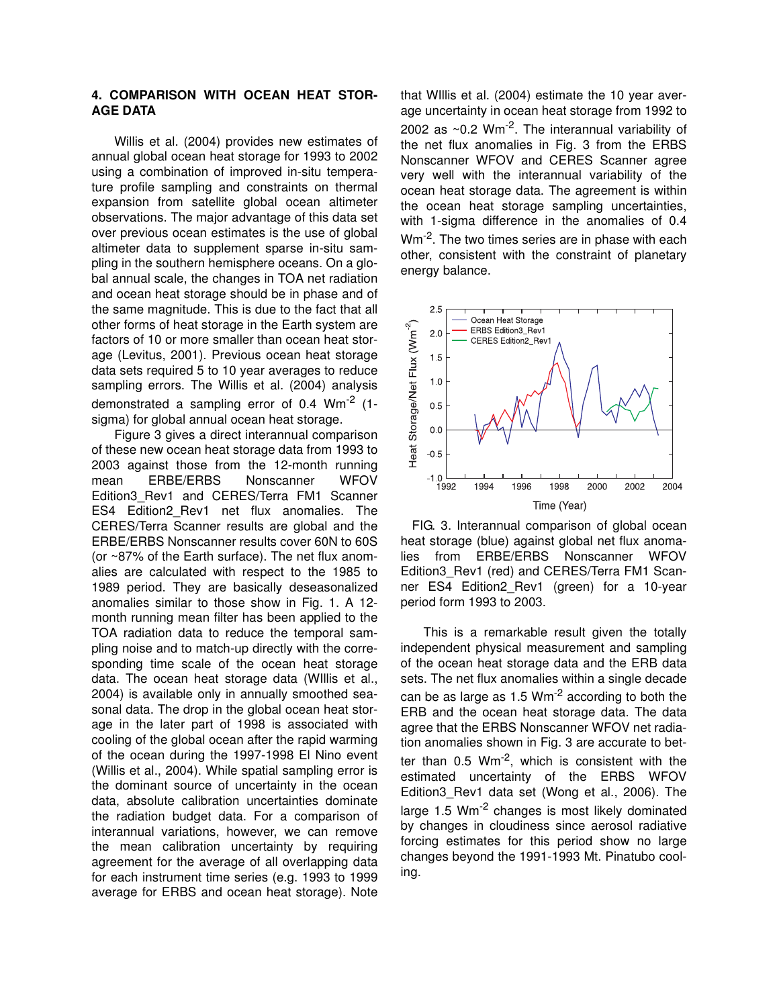### **4. COMPARISON WITH OCEAN HEAT STOR-AGE DATA**

Willis et al. (2004) provides new estimates of annual global ocean heat storage for 1993 to 2002 using a combination of improved in-situ temperature profile sampling and constraints on thermal expansion from satellite global ocean altimeter observations. The major advantage of this data set over previous ocean estimates is the use of global altimeter data to supplement sparse in-situ sampling in the southern hemisphere oceans. On a global annual scale, the changes in TOA net radiation and ocean heat storage should be in phase and of the same magnitude. This is due to the fact that all other forms of heat storage in the Earth system are factors of 10 or more smaller than ocean heat storage (Levitus, 2001). Previous ocean heat storage data sets required 5 to 10 year averages to reduce sampling errors. The Willis et al. (2004) analysis demonstrated a sampling error of 0.4 Wm-2 (1 sigma) for global annual ocean heat storage.

Figure 3 gives a direct interannual comparison of these new ocean heat storage data from 1993 to 2003 against those from the 12-month running mean ERBE/ERBS Nonscanner WFOV Edition3\_Rev1 and CERES/Terra FM1 Scanner ES4 Edition2\_Rev1 net flux anomalies. The CERES/Terra Scanner results are global and the ERBE/ERBS Nonscanner results cover 60N to 60S (or ~87% of the Earth surface). The net flux anomalies are calculated with respect to the 1985 to 1989 period. They are basically deseasonalized anomalies similar to those show in Fig. 1. A 12 month running mean filter has been applied to the TOA radiation data to reduce the temporal sampling noise and to match-up directly with the corresponding time scale of the ocean heat storage data. The ocean heat storage data (WIllis et al., 2004) is available only in annually smoothed seasonal data. The drop in the global ocean heat storage in the later part of 1998 is associated with cooling of the global ocean after the rapid warming of the ocean during the 1997-1998 El Nino event (Willis et al., 2004). While spatial sampling error is the dominant source of uncertainty in the ocean data, absolute calibration uncertainties dominate the radiation budget data. For a comparison of interannual variations, however, we can remove the mean calibration uncertainty by requiring agreement for the average of all overlapping data for each instrument time series (e.g. 1993 to 1999 average for ERBS and ocean heat storage). Note that WIllis et al. (2004) estimate the 10 year average uncertainty in ocean heat storage from 1992 to 2002 as  $\sim$ 0.2 Wm<sup>-2</sup>. The interannual variability of the net flux anomalies in Fig. 3 from the ERBS Nonscanner WFOV and CERES Scanner agree very well with the interannual variability of the ocean heat storage data. The agreement is within the ocean heat storage sampling uncertainties, with 1-sigma difference in the anomalies of 0.4 Wm<sup>-2</sup>. The two times series are in phase with each other, consistent with the constraint of planetary energy balance.



FIG. 3. Interannual comparison of global ocean heat storage (blue) against global net flux anomalies from ERBE/ERBS Nonscanner WFOV Edition3\_Rev1 (red) and CERES/Terra FM1 Scanner ES4 Edition2\_Rev1 (green) for a 10-year period form 1993 to 2003.

This is a remarkable result given the totally independent physical measurement and sampling of the ocean heat storage data and the ERB data sets. The net flux anomalies within a single decade can be as large as  $1.5 \text{ Wm}^2$  according to both the ERB and the ocean heat storage data. The data agree that the ERBS Nonscanner WFOV net radiation anomalies shown in Fig. 3 are accurate to better than  $0.5 \, \text{Wm}^{-2}$ , which is consistent with the estimated uncertainty of the ERBS WFOV Edition3\_Rev1 data set (Wong et al., 2006). The large 1.5 Wm<sup>-2</sup> changes is most likely dominated by changes in cloudiness since aerosol radiative forcing estimates for this period show no large changes beyond the 1991-1993 Mt. Pinatubo cooling.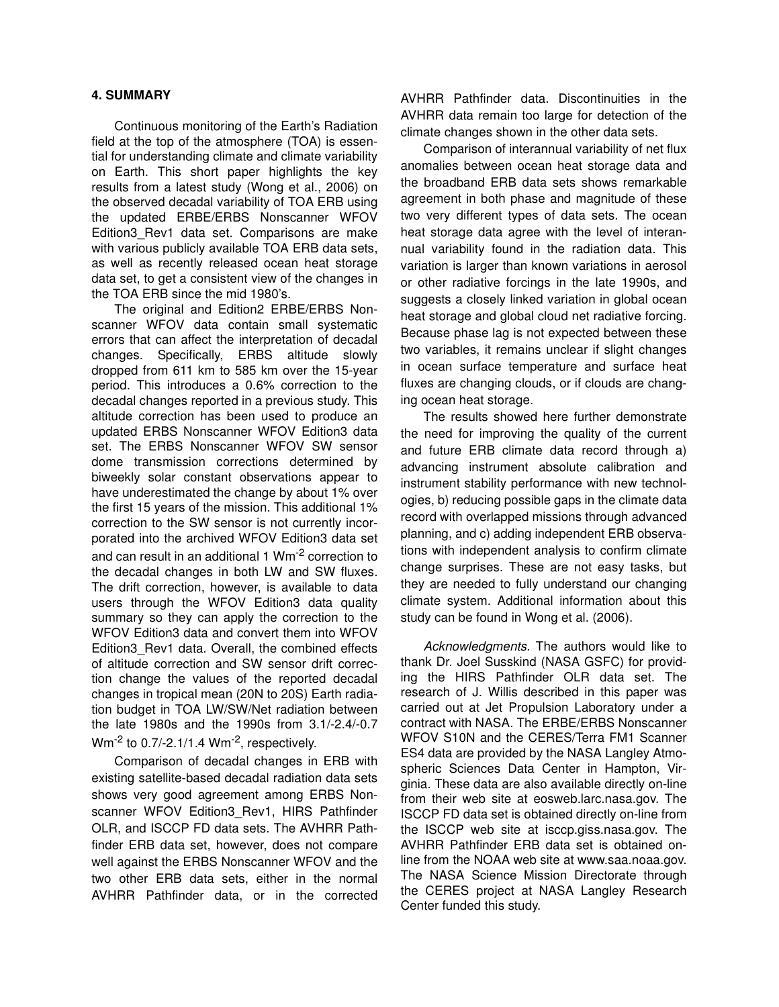## **4. SUMMARY**

Continuous monitoring of the Earth's Radiation field at the top of the atmosphere (TOA) is essential for understanding climate and climate variability on Earth. This short paper highlights the key results from a latest study (Wong et al., 2006) on the observed decadal variability of TOA ERB using the updated ERBE/ERBS Nonscanner WFOV Edition3\_Rev1 data set. Comparisons are make with various publicly available TOA ERB data sets, as well as recently released ocean heat storage data set, to get a consistent view of the changes in the TOA ERB since the mid 1980's.

The original and Edition2 ERBE/ERBS Nonscanner WFOV data contain small systematic errors that can affect the interpretation of decadal changes. Specifically, ERBS altitude slowly dropped from 611 km to 585 km over the 15-year period. This introduces a 0.6% correction to the decadal changes reported in a previous study. This altitude correction has been used to produce an updated ERBS Nonscanner WFOV Edition3 data set. The ERBS Nonscanner WFOV SW sensor dome transmission corrections determined by biweekly solar constant observations appear to have underestimated the change by about 1% over the first 15 years of the mission. This additional 1% correction to the SW sensor is not currently incorporated into the archived WFOV Edition3 data set and can result in an additional 1 Wm-2 correction to the decadal changes in both LW and SW fluxes. The drift correction, however, is available to data users through the WFOV Edition3 data quality summary so they can apply the correction to the WFOV Edition3 data and convert them into WFOV Edition3\_Rev1 data. Overall, the combined effects of altitude correction and SW sensor drift correction change the values of the reported decadal changes in tropical mean (20N to 20S) Earth radiation budget in TOA LW/SW/Net radiation between the late 1980s and the 1990s from 3.1/-2.4/-0.7  $Wm^{-2}$  to 0.7/-2.1/1.4  $Wm^{-2}$ , respectively.

Comparison of decadal changes in ERB with existing satellite-based decadal radiation data sets shows very good agreement among ERBS Nonscanner WFOV Edition3 Rev1, HIRS Pathfinder OLR, and ISCCP FD data sets. The AVHRR Pathfinder ERB data set, however, does not compare well against the ERBS Nonscanner WFOV and the two other ERB data sets, either in the normal AVHRR Pathfinder data, or in the corrected AVHRR Pathfinder data. Discontinuities in the AVHRR data remain too large for detection of the climate changes shown in the other data sets.

Comparison of interannual variability of net flux anomalies between ocean heat storage data and the broadband ERB data sets shows remarkable agreement in both phase and magnitude of these two very different types of data sets. The ocean heat storage data agree with the level of interannual variability found in the radiation data. This variation is larger than known variations in aerosol or other radiative forcings in the late 1990s, and suggests a closely linked variation in global ocean heat storage and global cloud net radiative forcing. Because phase lag is not expected between these two variables, it remains unclear if slight changes in ocean surface temperature and surface heat fluxes are changing clouds, or if clouds are changing ocean heat storage.

The results showed here further demonstrate the need for improving the quality of the current and future ERB climate data record through a) advancing instrument absolute calibration and instrument stability performance with new technologies, b) reducing possible gaps in the climate data record with overlapped missions through advanced planning, and c) adding independent ERB observations with independent analysis to confirm climate change surprises. These are not easy tasks, but they are needed to fully understand our changing climate system. Additional information about this study can be found in Wong et al. (2006).

Acknowledgments. The authors would like to thank Dr. Joel Susskind (NASA GSFC) for providing the HIRS Pathfinder OLR data set. The research of J. Willis described in this paper was carried out at Jet Propulsion Laboratory under a contract with NASA. The ERBE/ERBS Nonscanner WFOV S10N and the CERES/Terra FM1 Scanner ES4 data are provided by the NASA Langley Atmospheric Sciences Data Center in Hampton, Virginia. These data are also available directly on-line from their web site at eosweb.larc.nasa.gov. The ISCCP FD data set is obtained directly on-line from the ISCCP web site at isccp.giss.nasa.gov. The AVHRR Pathfinder ERB data set is obtained online from the NOAA web site at www.saa.noaa.gov. The NASA Science Mission Directorate through the CERES project at NASA Langley Research Center funded this study.